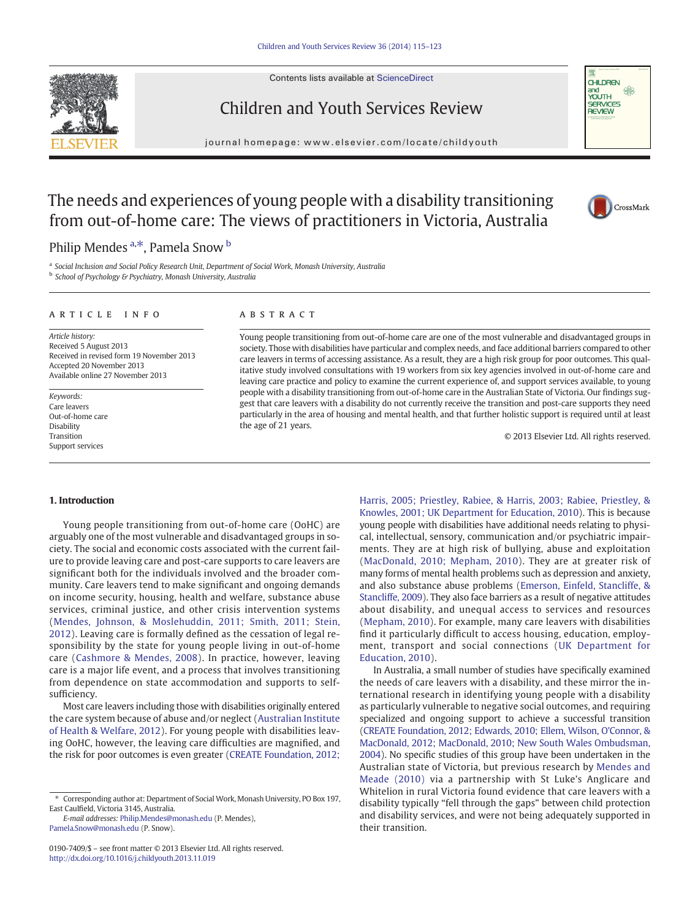Contents lists available at [ScienceDirect](http://www.sciencedirect.com/science/journal/01907409)





# Children and Youth Services Review

journal homepage: www.elsevier.com/locate/childyouth

# The needs and experiences of young people with a disability transitioning from out-of-home care: The views of practitioners in Victoria, Australia



## Philip Mendes <sup>a,\*</sup>, Pamela Snow <sup>b</sup>

<sup>a</sup> Social Inclusion and Social Policy Research Unit, Department of Social Work, Monash University, Australia **b** School of Psychology & Psychiatry, Monash University, Australia

#### article info abstract

Article history: Received 5 August 2013 Received in revised form 19 November 2013 Accepted 20 November 2013 Available online 27 November 2013

Keywords: Care leavers Out-of-home care Disability Transition Support services

Young people transitioning from out-of-home care are one of the most vulnerable and disadvantaged groups in society. Those with disabilities have particular and complex needs, and face additional barriers compared to other care leavers in terms of accessing assistance. As a result, they are a high risk group for poor outcomes. This qualitative study involved consultations with 19 workers from six key agencies involved in out-of-home care and leaving care practice and policy to examine the current experience of, and support services available, to young people with a disability transitioning from out-of-home care in the Australian State of Victoria. Our findings suggest that care leavers with a disability do not currently receive the transition and post-care supports they need particularly in the area of housing and mental health, and that further holistic support is required until at least the age of 21 years.

© 2013 Elsevier Ltd. All rights reserved.

### 1. Introduction

Young people transitioning from out-of-home care (OoHC) are arguably one of the most vulnerable and disadvantaged groups in society. The social and economic costs associated with the current failure to provide leaving care and post-care supports to care leavers are significant both for the individuals involved and the broader community. Care leavers tend to make significant and ongoing demands on income security, housing, health and welfare, substance abuse services, criminal justice, and other crisis intervention systems [\(Mendes, Johnson, & Moslehuddin, 2011; Smith, 2011; Stein,](#page--1-0) [2012](#page--1-0)). Leaving care is formally defined as the cessation of legal responsibility by the state for young people living in out-of-home care ([Cashmore & Mendes, 2008\)](#page--1-0). In practice, however, leaving care is a major life event, and a process that involves transitioning from dependence on state accommodation and supports to selfsufficiency.

Most care leavers including those with disabilities originally entered the care system because of abuse and/or neglect ([Australian Institute](#page--1-0) [of Health & Welfare, 2012\)](#page--1-0). For young people with disabilities leaving OoHC, however, the leaving care difficulties are magnified, and the risk for poor outcomes is even greater [\(CREATE Foundation, 2012;](#page--1-0)

E-mail addresses: [Philip.Mendes@monash.edu](mailto:Philip.Mendes@monash.edu) (P. Mendes), [Pamela.Snow@monash.edu](mailto:Pamela.Snow@monash.edu) (P. Snow).

[Harris, 2005; Priestley, Rabiee, & Harris, 2003; Rabiee, Priestley, &](#page--1-0) [Knowles, 2001; UK Department for Education, 2010\)](#page--1-0). This is because young people with disabilities have additional needs relating to physical, intellectual, sensory, communication and/or psychiatric impairments. They are at high risk of bullying, abuse and exploitation [\(MacDonald, 2010; Mepham, 2010](#page--1-0)). They are at greater risk of many forms of mental health problems such as depression and anxiety, and also substance abuse problems [\(Emerson, Einfeld, Stancliffe, &](#page--1-0) [Stancliffe, 2009\)](#page--1-0). They also face barriers as a result of negative attitudes about disability, and unequal access to services and resources [\(Mepham, 2010\)](#page--1-0). For example, many care leavers with disabilities find it particularly difficult to access housing, education, employment, transport and social connections ([UK Department for](#page--1-0) [Education, 2010\)](#page--1-0).

In Australia, a small number of studies have specifically examined the needs of care leavers with a disability, and these mirror the international research in identifying young people with a disability as particularly vulnerable to negative social outcomes, and requiring specialized and ongoing support to achieve a successful transition [\(CREATE Foundation, 2012; Edwards,](#page--1-0) 2010; Ellem, Wilson, O'Connor, & [MacDonald, 2012; MacDonald, 2010; New South Wales Ombudsman,](#page--1-0) [2004\)](#page--1-0). No specific studies of this group have been undertaken in the Australian state of Victoria, but previous research by [Mendes and](#page--1-0) [Meade \(2010\)](#page--1-0) via a partnership with St Luke's Anglicare and Whitelion in rural Victoria found evidence that care leavers with a disability typically "fell through the gaps" between child protection and disability services, and were not being adequately supported in their transition.

<sup>⁎</sup> Corresponding author at: Department of Social Work, Monash University, PO Box 197, East Caulfield, Victoria 3145, Australia.

<sup>0190-7409/\$</sup> – see front matter © 2013 Elsevier Ltd. All rights reserved. <http://dx.doi.org/10.1016/j.childyouth.2013.11.019>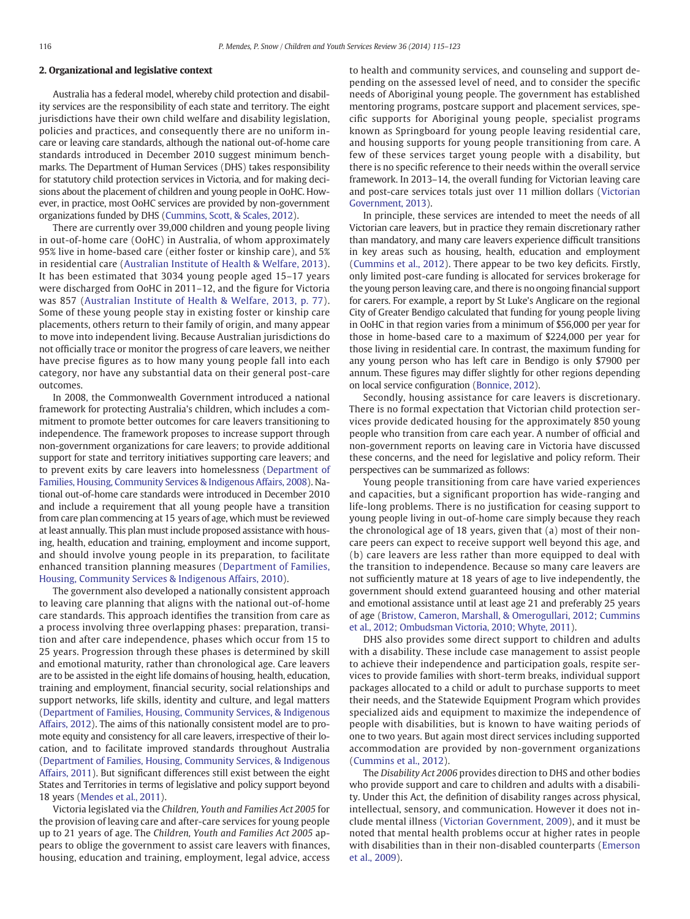#### 2. Organizational and legislative context

Australia has a federal model, whereby child protection and disability services are the responsibility of each state and territory. The eight jurisdictions have their own child welfare and disability legislation, policies and practices, and consequently there are no uniform incare or leaving care standards, although the national out-of-home care standards introduced in December 2010 suggest minimum benchmarks. The Department of Human Services (DHS) takes responsibility for statutory child protection services in Victoria, and for making decisions about the placement of children and young people in OoHC. However, in practice, most OoHC services are provided by non-government organizations funded by DHS [\(Cummins, Scott, & Scales, 2012\)](#page--1-0).

There are currently over 39,000 children and young people living in out-of-home care (OoHC) in Australia, of whom approximately 95% live in home-based care (either foster or kinship care), and 5% in residential care [\(Australian Institute of Health & Welfare, 2013](#page--1-0)). It has been estimated that 3034 young people aged 15–17 years were discharged from OoHC in 2011–12, and the figure for Victoria was 857 ([Australian Institute of Health & Welfare, 2013, p. 77](#page--1-0)). Some of these young people stay in existing foster or kinship care placements, others return to their family of origin, and many appear to move into independent living. Because Australian jurisdictions do not officially trace or monitor the progress of care leavers, we neither have precise figures as to how many young people fall into each category, nor have any substantial data on their general post-care outcomes.

In 2008, the Commonwealth Government introduced a national framework for protecting Australia's children, which includes a commitment to promote better outcomes for care leavers transitioning to independence. The framework proposes to increase support through non-government organizations for care leavers; to provide additional support for state and territory initiatives supporting care leavers; and to prevent exits by care leavers into homelessness [\(Department of](#page--1-0) [Families, Housing, Community Services & Indigenous Affairs, 2008](#page--1-0)). National out-of-home care standards were introduced in December 2010 and include a requirement that all young people have a transition from care plan commencing at 15 years of age, which must be reviewed at least annually. This plan must include proposed assistance with housing, health, education and training, employment and income support, and should involve young people in its preparation, to facilitate enhanced transition planning measures ([Department of Families,](#page--1-0) [Housing, Community Services & Indigenous Affairs, 2010](#page--1-0)).

The government also developed a nationally consistent approach to leaving care planning that aligns with the national out-of-home care standards. This approach identifies the transition from care as a process involving three overlapping phases: preparation, transition and after care independence, phases which occur from 15 to 25 years. Progression through these phases is determined by skill and emotional maturity, rather than chronological age. Care leavers are to be assisted in the eight life domains of housing, health, education, training and employment, financial security, social relationships and support networks, life skills, identity and culture, and legal matters [\(Department of Families, Housing, Community Services, & Indigenous](#page--1-0) [Affairs, 2012\)](#page--1-0). The aims of this nationally consistent model are to promote equity and consistency for all care leavers, irrespective of their location, and to facilitate improved standards throughout Australia [\(Department of Families, Housing, Community Services, & Indigenous](#page--1-0) [Affairs, 2011](#page--1-0)). But significant differences still exist between the eight States and Territories in terms of legislative and policy support beyond 18 years ([Mendes et al., 2011\)](#page--1-0).

Victoria legislated via the Children, Youth and Families Act 2005 for the provision of leaving care and after-care services for young people up to 21 years of age. The Children, Youth and Families Act 2005 appears to oblige the government to assist care leavers with finances, housing, education and training, employment, legal advice, access to health and community services, and counseling and support depending on the assessed level of need, and to consider the specific needs of Aboriginal young people. The government has established mentoring programs, postcare support and placement services, specific supports for Aboriginal young people, specialist programs known as Springboard for young people leaving residential care, and housing supports for young people transitioning from care. A few of these services target young people with a disability, but there is no specific reference to their needs within the overall service framework. In 2013–14, the overall funding for Victorian leaving care and post-care services totals just over 11 million dollars [\(Victorian](#page--1-0) [Government, 2013](#page--1-0)).

In principle, these services are intended to meet the needs of all Victorian care leavers, but in practice they remain discretionary rather than mandatory, and many care leavers experience difficult transitions in key areas such as housing, health, education and employment [\(Cummins et al., 2012\)](#page--1-0). There appear to be two key deficits. Firstly, only limited post-care funding is allocated for services brokerage for the young person leaving care, and there is no ongoing financial support for carers. For example, a report by St Luke's Anglicare on the regional City of Greater Bendigo calculated that funding for young people living in OoHC in that region varies from a minimum of \$56,000 per year for those in home-based care to a maximum of \$224,000 per year for those living in residential care. In contrast, the maximum funding for any young person who has left care in Bendigo is only \$7900 per annum. These figures may differ slightly for other regions depending on local service configuration [\(Bonnice, 2012](#page--1-0)).

Secondly, housing assistance for care leavers is discretionary. There is no formal expectation that Victorian child protection services provide dedicated housing for the approximately 850 young people who transition from care each year. A number of official and non-government reports on leaving care in Victoria have discussed these concerns, and the need for legislative and policy reform. Their perspectives can be summarized as follows:

Young people transitioning from care have varied experiences and capacities, but a significant proportion has wide-ranging and life-long problems. There is no justification for ceasing support to young people living in out-of-home care simply because they reach the chronological age of 18 years, given that (a) most of their noncare peers can expect to receive support well beyond this age, and (b) care leavers are less rather than more equipped to deal with the transition to independence. Because so many care leavers are not sufficiently mature at 18 years of age to live independently, the government should extend guaranteed housing and other material and emotional assistance until at least age 21 and preferably 25 years of age [\(Bristow, Cameron, Marshall, & Omerogullari, 2012; Cummins](#page--1-0) [et al., 2012; Ombudsman Victoria, 2010; Whyte, 2011\)](#page--1-0).

DHS also provides some direct support to children and adults with a disability. These include case management to assist people to achieve their independence and participation goals, respite services to provide families with short-term breaks, individual support packages allocated to a child or adult to purchase supports to meet their needs, and the Statewide Equipment Program which provides specialized aids and equipment to maximize the independence of people with disabilities, but is known to have waiting periods of one to two years. But again most direct services including supported accommodation are provided by non-government organizations [\(Cummins et al., 2012](#page--1-0)).

The Disability Act 2006 provides direction to DHS and other bodies who provide support and care to children and adults with a disability. Under this Act, the definition of disability ranges across physical, intellectual, sensory, and communication. However it does not include mental illness [\(Victorian Government, 2009\)](#page--1-0), and it must be noted that mental health problems occur at higher rates in people with disabilities than in their non-disabled counterparts ([Emerson](#page--1-0) [et al., 2009](#page--1-0)).